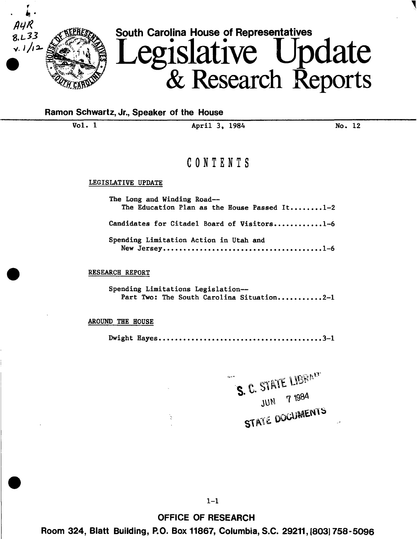

## Ramon Schwartz, Jr., Speaker of the House

Vol. 1 **April 3, 1984** No. 12

# CONTENTS

## LEGISLATIVE UPDATE

| The Long and Winding Road--<br>The Education Plan as the House Passed It1-2 |  |  |  |  |  |  |  |  |
|-----------------------------------------------------------------------------|--|--|--|--|--|--|--|--|
| Candidates for Citadel Board of Visitors1-6                                 |  |  |  |  |  |  |  |  |
| Spending Limitation Action in Utah and                                      |  |  |  |  |  |  |  |  |

RESEARCH REPORT

Spending Limitations Legislation-- Part Two: The South Carolina Situation..........2-1

AROUND THE HOUSE

Dwight Hayes •••••••••••••••••••••••••••••••••••••••• J-1

S. C. STATE LIBRACT JUN 7 1984 **STATE DOCUMENTS** 

OFFICE OF RESEARCH

Room 324, Blatt Building, P.O. Box 11867, Columbia, S.C. 29211, (8031758-5096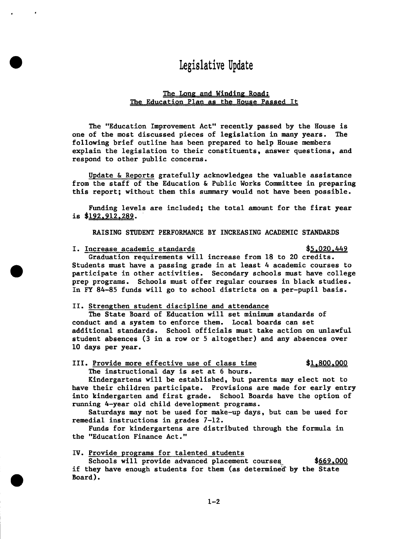# **Legislative Update**

## Ihe Long and Winding Road: The Education Plan as the House Passed It

The "Education Improvement Act" recently passed by the House is one of the most discussed pieces of legislation in many years. The following brief outline has been prepared to help House members explain the legislation to their constituents, answer questions, and respond to other public concerns.

Update & Reports gratefully acknowledges the valuable assistance from the staff of the Education & Public Works Committee in preparing this report; without them this summary would not have been possible.

Funding levels are included; the total amount for the first year is \$192.912.289.

RAISING STUDENT PERFORMANCE BY INCREASING ACADEMIC STANDARDS

## I. Increase academic standards  $$5.020,449$

Graduation requirements will increase from 18 to 20 credits. Students must have a passing grade in at least 4 academic courses to participate in other activities. Secondary schools must have college prep programs. Schools must offer regular courses in black studies. In FY 84-85 funds will go to school districts on a per-pupil basis.

## II. Strengthen student discipline and attendance

The State Board of Education will set minimum standards of conduct and a system to enforce them. Local boards can set additional standards. School officials must take action on unlawful student absences (3 in a row or 5 altogether) and any absences over 10 days per year.

## III. Provide more effective use of class time  $$1,800,000$ The instructional day is set at 6 hours.

Kindergartens will be established, but parents may elect not to have their children participate. Provisions are made for early entry into kindergarten and first grade. School Boards have the option of running 4-year old child development programs.

Saturdays may not be used for make-up days, but can be used for remedial instructions in grades 7-12.

Funds for kindergartens are distributed through the formula in the "Education Finance Act."

## IV. Provide programs for talented students

Schools will provide advanced placement courses if they have enough students for them (as determined by the State Board). \$669.000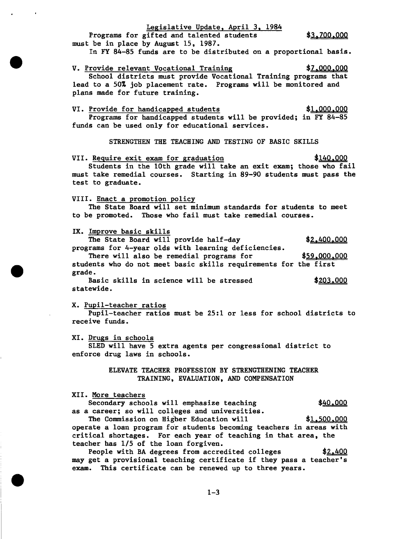Legislative Update, April 3, 1984 Programs for gifted and talented students \$3.700.000 must be in place by August 15, 1987. In FY 84-85 funds are to be distributed on a proportional basis. V. Provide relevant Vocational Training  $\frac{$7,000,000}{2}$ School districts must provide Vocational Training programs that lead to a 50% job placement rate. Programs will be monitored and plans made for future training.

## VI. Provide for handicapped students  $$1,000,000$ Programs for handicapped students will be provided; in FY 84-85 funds can be used only for educational services.

STRENGTHEN THE TEACHING AND TESTING OF BASIC SKILLS

VII. Require exit exam for graduation Students in the lOth grade will take an exit exam; those who fail must take remedial courses. Starting in 89-90 students must pass the test to graduate. \$140.000

#### VIII. Enact a promotion policy

The State Board will set minimum standards for students to meet to be promoted. Those who fail must take remedial courses.

IX. Improve basic skills

The State Board will provide half-day  $$2,400,000$ programs for 4-year olds with learning deficiencies. There will also be remedial programs for  $$59,000,000$ students who do not meet basic skills requirements for the first grade.

Basic skills in science will be stressed  $$203,000$ statewide.

X. Pupil-teacher ratios

Pupil-teacher ratios must be 25:1 or less for school districts to receive funds.

XI. Drugs in schools

SLED will have 5 extra agents per congressional district to enforce drug laws in schools.

> ELEVATE TEACHER PROFESSION BY STRENGTHENING TEACHER TRAINING, EVALUATION, AND COMPENSATION

## XII. More teachers

Secondary schools will emphasize teaching \$40,000 as a career; so will colleges and universities.

The Commission on Higher Education will  $$1,500,000$ operate a loan program for students becoming teachers in areas with critical shortages. For each year of teaching in that area, the teacher has 1/5 of the loan forgiven.

People with BA degrees from accredited colleges  $$2,400$ may get a provisional teaching certificate if they pass a teacher's exam. This certificate can be renewed up to three years.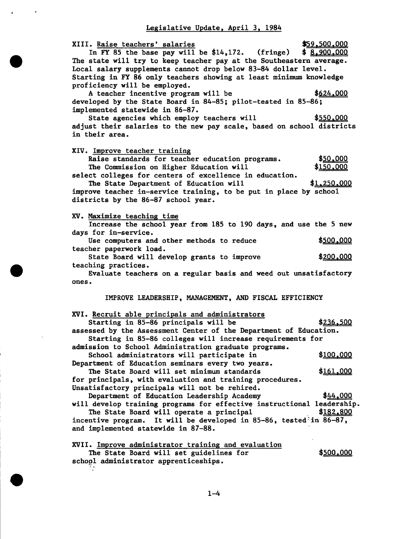## Legislative Update, April 3, 1984

XIII. Raise teachers' salaries \$59,500.000 In FY 85 the base pay will be  $$14,172$ . (fringe)  $$8,900,000$ The state will try to keep teacher pay at the Southeastern average. Local salary supplements cannot drop below 83-84 dollar level. Starting in FY 86 only teachers showing at least minimum knowledge proficiency will be employed. A teacher incentive program will be  $$624,000$ developed by the State Board in 84-85; pilot-tested in 85-86; implemented statewide in 86-87. State agencies which employ teachers will  $$550,000$ adjust their salaries to the new pay scale, based on school districts in their area. XIV. Improve teacher training Raise standards for teacher education programs. The Commission on Higher Education will select colleges for centers of excellence in education. The State Department of Education will improve teacher in-service training, to be put in place by school districts by the 86-87 school year. XV. Maximize teaching time \$50,000 \$150.000 \$1.250.000 Increase the school year from 185 to 190 days, and use the 5 new days for in-service. Use computers and other methods to reduce  $$500.000$ teacher paperwork load. State Board will develop grants to improve  $$200,000$ teaching practices. Evaluate teachers on a regular basis and weed out unsatisfactory ones. IMPROVE LEADERSHIP, MANAGEMENT, AND FISCAL EFFICIENCY XVI. Recruit able principals and administrators Starting in 85-86 principals will be  $\frac{$236,500}{2}$ assessed by the Assessment Center of the Department of Education. Starting in 85-86 colleges will increase requirements for admission to School Administration graduate programs. School administrators will participate in  $$100,000$ Department of Education seminars every two years. The State Board will set minimum standards  $$161,000$ for principals, with evaluation and training procedures. Unsatisfactory principals will not be rehired. Department of Education Leadership Academy \$44,000 will develop training programs for effective instructional leadership. The State Board will operate a principal  $$182,800$ incentive program. It will be developed in  $85-86$ , tested in  $86-87$ , and implemented statewide in 87-88. XVII. Improve administrator training and evaluation The State Board will set guidelines for school administrator apprenticeships. \$500.000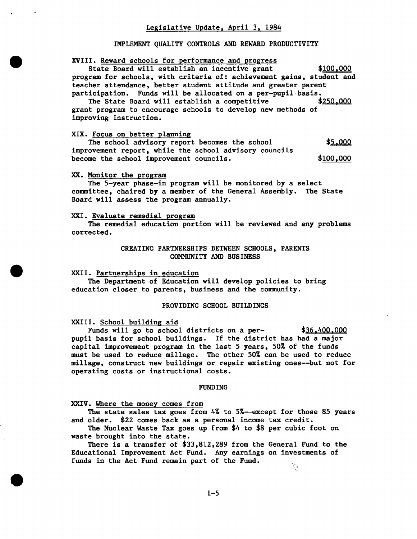## IMPLEMENT QUALITY CONTROLS AND REWARD PRODUCTIVITY

#### XVIII. Reward schools for performance and progress

State Board will establish an incentive grant \$100,000 program for schools, with criteria of: achievement gains, student and teacher attendance, better student attitude and greater parent participation. Funds will be allocated on a per-pupil-basis.<br>The State Board will establish a competitive  $$250,000$ 

The State Board will establish a competitive grant program to encourage schools to develop new methods of improving instruction.

## XIX. Focus on better planning

The school advisory report becomes the school improvement report, while the school advisory councils become the school improvement councils. \$5,000 \$<u>100,000</u>

#### XX. Monitor the program

The 5-year phase-in program will be monitored by a select committee, chaired by a member of the General Assembly. The State Board will assess the program annually.

#### XXI. Evaluate remedial program

The remedial education portion will be reviewed and any problems corrected.

## CREATING PARTNERSHIPS BETWEEN SCHOOLS, PARENTS COMMUNITY AND BUSINESS

#### XXII. Partnerships in education

The Department of Education will develop policies to bring education closer to parents, business and the community.

#### PROVIDING SCHOOL BUILDINGS

XXIII. School building aid

Funds will go to school districts on a per-  $$36.400.000$ pupil basis for school buildings. If the district has had a major capital improvement program in the last 5 years, 50% of the funds must be used to reduce millage. The other 50% can be used to reduce millage, construct new buildings or repair existing ones--but not for operating costs or instructional costs.

#### FUNDING

XXIV. Where the money comes from

The state sales tax goes from  $4\%$  to  $5\%$ --except for those 85 years and older. \$22 comes back as a personal income tax credit.

The Nuclear Waste Tax goes up from \$4 to \$8 per cubic foot on waste brought into the state.

There is a transfer of \$33,812,289 from the General Fund to the Educational Improvement Act Fund. Any earnings on investments of funds in the Act Fund remain part of the Fund.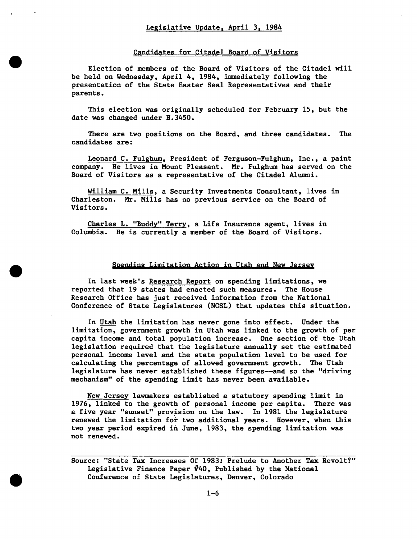## Candidates for Citadel Board of Visitors

Election of members of the Board of Visitors of the Citadel will be held on Wednesday, April 4, 1984, immediately following the presentation of the State Easter Seal Representatives and their parents.

This election was originally scheduled for February 15, but the date was changed under H.3450.

There are two positions on the Board, and three candidates. The candidates are:

Leonard C. Fulghum, President of Ferguson-Fulghum, Inc., a paint company. He lives in Mount Pleasant. Mr. Fulghum has served on the Board of Visitors as a representative of the Citadel Alumni.

William C. Mills, a Security Investments Consultant, lives in Charleston. Mr. Mills has no previous service on the Board of Visitors.

Charles L. "Buddy" Terry, a Life Insurance agent, lives in Columbia. He is currently a member of the Board of Visitors.

## Spending Limitation Action in Utah and New Jersey

In last week's Research Report on spending limitations, we reported that 19 states had enacted such measures. The House Research Office has just received information from the National Conference of State Legislatures (NCSL) that updates this situation.

In Utah the limitation has never gone into effect. Under the limitation, government growth in Utah was linked to the growth of per capita income and total population increase. One section of the Utah legislation required that the legislature annually set the estimated personal income level and the state population level to be used for calculating the percentage of allowed government growth. The Utah legislature has never established these figures--and so the "driving mechanism" of the spending limit has never been available.

New Jersey lawmakers established a statutory spending limit in 1976, linked to the growth of personal income per capita. There was a five year "sunset" provision on the law. In 1981 the legislature renewed the limitation for two additional years. However, when this two year period expired in June, 1983, the spending limitation was not renewed.

Source: "State Tax Increases Of 1983: Prelude to Another Tax Revolt?" Legislative Finance Paper #40, Published by the National Conference of State Legislatures, Denver, Colorado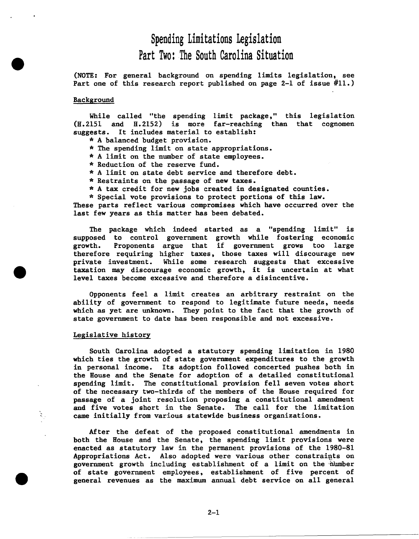# Spending Limitations Legislation Part Two: The South Carolina Situation

(NOTE: For general background on spending limits legislation, see Part one of this research report published on page 2-1 of issue #11.)

## Background

While called "the spending limit package," this legislation (H.2151 and H.2152) is more far-reaching than that cognomen suggests. It includes material to establish:<br>\* A balanced budget provision.

- 
- \* The spending limit on state appropriations.
- \* A limit on the number of state employees.
- 
- \* Reduction of the reserve fund. \* A limit on state debt service and therefore debt.
- \* Restraints on the passage of new taxes.
- \* A tax credit for new jobs created in designated counties.
- \* Special vote provisions to protect portions of this law.

These parts reflect various compromises which have occurred over the last few years as this matter has been debated.

The package which indeed started as a "spending limit" is supposed to control government growth while fostering economic growth. Proponents argue that if government grows too large therefore requiring higher taxes, those taxes will discourage new private investment. While some research suggests that excessive taxation may discourage economic growth, it is uncertain at what level taxes become excessive and therefore a disincentive.

Opponents feel a limit creates an arbitrary restraint on the ability of government to respond to legitimate future needs, needs which as yet are unknown. They point to the fact that the growth of state government to date has been responsible and not excessive.

## Legislative history

South Carolina adopted a statutory spending limitation in 1980 which ties the growth of state government expenditures to the growth in personal income. Its adoption followed concerted pushes both in the House and the Senate for adoption of a detailed constitutional spending limit. The constitutional provision fell seven votes short of the necessary two-thirds of the members of the House required for passage of a joint resolution proposing a constitutional amendment and five votes short in the Senate. The call for the limitation , came initially from various statewide business organizations.

After the defeat of the proposed constitutional amendments in both the House and the Senate, the spending limit provisions were enacted as statutory law in the permanent provisions of the 1980-81 Appropriations Act. Also adopted were various other constraints on government growth including establishment of a limit on the number of state government employees, establishment of five percent of general revenues as the maximum annual debt service on all general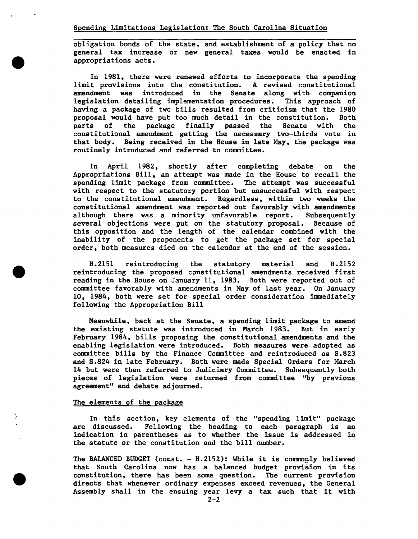obligation bonds of the state, and establishment of a policy that no general tax increase or new general taxes would be enacted in appropriations acts.

In 1981, there were renewed efforts to incorporate the spending limit provisions into the constitution. A revised constitutional amendment was introduced in the Senate along with companion legislation detailing implementation procedures. having a package of two bills resulted from criticism that the 1980<br>proposal would have put too much detail in the constitution. Both proposal would have put too much detail in the constitution. Both<br>parts of the package finally passed the Senate with the the package finally passed the constitutional amendment getting the necessary two-thirds vote in that body. Being received in the House in late May, the package was routinely introduced and referred to committee.

In April 1982, shortly after completing debate on the Appropriations Bill, an attempt was made in the House to recall the spending limit package from committee. The attempt was successful with respect to the statutory portion but unsuccessful with respect to the constitutional amendment. Regardless, within two weeks the constitutional amendment was reported out favorably with amendments although there was a minority unfavorable report. several objections were put on the statutory proposal. Because of this opposition and the length of the calendar combined with the inability of the proponents to get the package set for special order, both measures died on the calendar at the end of the session.

H.2151 reintroducing the statutory material and H.2152 reintroducing the proposed constitutional amendments received first reading in the House on January 11, 1983. Both were reported out of committee favorably with amendments in May of last year. On January 10, 1984, both were set for special order consideration immediately following the Appropriation Bill

Meanwhile, back at the Senate, a spending limit package to amend the existing statute was introduced in March 1983. But in early February 1984, bills proposing the constitutional amendments and the enabling legislation were introduced. Both measures were adopted as committee bills by the Finance Committee and reintroduced as S.823 and S.824 in late February. Both were made Special Orders for March 14 but were then referred to Judiciary Committee. Subsequently both pieces of legislation were returned from committee "by previous agreement" and debate adjourned.

## The elements of the package

In this section, key elements of the "spending limit" package are discussed. Following the heading to each paragraph is an indication in parentheses as to whether the issue is addressed in the statute or the constitution and the bill number.

The BALANCED BUDGET (const.  $-$  H.2152): While it is commonly believed that South Carolina now has a balanced budget provision in its constitution, there has been some question. The current provision directs that whenever ordinary expenses exceed revenues, the General Assembly shall in the ensuing year levy a tax such that it with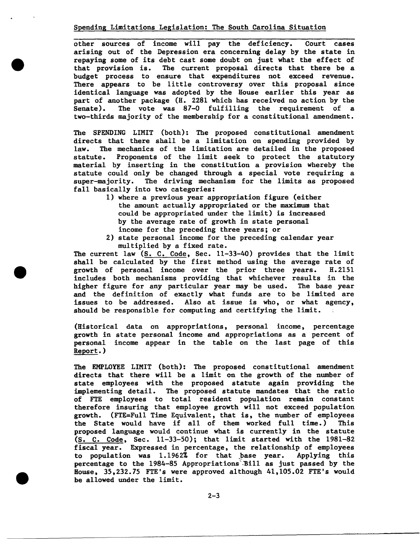Spending Limitations Legislation: The South Carolina Situation

other sources of income will pay the deficiency. Court cases arising out of the Depression era concerning delay by the state in repaying some of its debt cast some doubt on just what the effect of that provision is. The current proposal directs that there be a budget process to ensure that expenditures not exceed revenue. There appears to be little controversy over this proposal since identical language was adopted by the House earlier this year as part of another package (H. 2281 which has received no action by the Senate). The vote was 87-0 fulfilling the requirement of a two-thirds majority of the membership for a constitutional amendment.

The SPENDING LIMIT (both): The proposed constitutional amendment directs that there shall be a limitation on spending provided by law. The mechanics of the limitation are detailed in the proposed statute. Proponents of the limit seek to protect the statutory material by inserting in the constitution a provision whereby the statute could only be changed through a special vote requiring a super-majority. The driving mechanism for the limits as proposed fall basically into two categories:

- 1) where a previous year appropriation figure (either the amount actually appropriated or the maximum that could be appropriated under the limit) is increased by the average rate of growth in state personal income for the preceding three years; or
- 2) state personal income for the preceding calendar year multiplied by a fixed rate.

The current law (S. C. Code, Sec. 11-33-40) provides that the limit shall be calculated by the first method using the average rate of growth of personal income over the prior three vears. H.2151 growth of personal income over the prior three years. includes both mechanisms providing that whichever results in the higher figure for any particular year may be used. The base year and the definition of exactly what funds are to be limited are issues to be addressed. Also at issue is who, or what agency, Also at issue is who, or what agency, should be responsible for computing and certifying the limit.

(Historical data on appropriations, personal income, percentage growth in state personal income and appropriations as a percent of personal income appear in the table on the last page of this Report.)

The EMPLOYEE LIMIT (both): The proposed constitutional amendment directs that there will be a limit on the growth of the number of state employees with the proposed statute again providing the implementing detail. The proposed statute mandates that the ratio of FTE employees to total resident population remain constant therefore insuring that employee growth will not exceed population growth. (FTE=Full Time Equivalent, that is, the number of employees<br>the State would have if all of them worked full time.) This the State would have if all of them worked full time.) proposed language would continue what is currently in the statute (S. C. Code, Sec. 11-33-50); that limit started with the 1981-82 fiscal year. Expressed in percentage, the relationship of employees to population was 1.1962% for that pase year. Applying this percentage to the 1984-85 Appropriations Bill as just passed by the House, 35,232.75 FTE's were approved although 41,105.02 FTE's would be allowed under the limit.

 $2 - 3$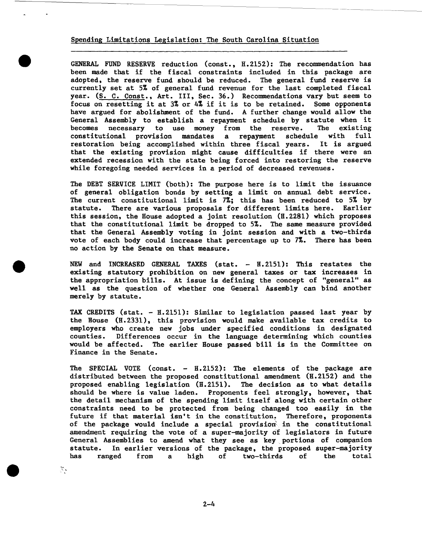## Spending Limitations Legislation: The South Carolina Situation

GENERAL FUND RESERVE reduction (const., H.2152): The recommendation has been made that if the fiscal constraints included in this package are adopted, the reserve fund should be reduced. The general fund reserve is currently set at 5% of general fund revenue for the last completed fiscal year. (S. C. Const., Art. III, Sec. 36.) Recommendations vary but seem to focus on resetting it at 3% or 4% if it is to be retained. Some opponents have argued for abolishment of the fund. A further change would allow the General Assembly to establish a repayment schedule by statute when it becomes necessary to use money from the reserve. The existing necessary to use money constitutional provision mandates a repayment schedule with full restoration being accomplished within three fiscal years. It is argued that the existing provision might cause difficulties if there were an extended recession with the state being forced into restoring the reserve while foregoing needed services in a period of decreased revenues.

The DEBT SERVICE LIMIT (both): The purpose here is to limit the issuance of general obligation bonds by setting a limit on annual debt service. The current constitutional limit is 7%; this has been reduced to 5% by statute. There are various proposals for different limits here. Earlier this session, the House adopted a joint resolution (H.2281) which proposes that the constitutional limit be dropped to 5%. The same measure provided that the General Assembly voting in joint session and with a two-thirds vote of each body could increase that percentage up to 7%. There has been no action by the Senate on that measure.

NEW and INCREASED GENERAL TAXES (stat. - H.2151): This restates the existing statutory prohibition on new general taxes or tax increases in the appropriation bills. At issue is defining the concept of "general" as well as the question of whether one General Assembly can bind another merely by statute.

TAX CREDITS (stat. - H. 2151): Similar to legislation passed last year by the House (H. 2331), this provision would make available tax credits to employers who create new jobs under specified conditions in designated counties. Differences occur in the language determining which counties would be affected. The earlier House passed bill is in the Committee on Finance in the Senate.

The SPECIAL VOTE (const. - H.2152): The elements of the package are distributed between the proposed constitutional amendment (H.2152) and the proposed enabling legislation (H.2151). The decision as to what details should be where is value laden. Proponents feel strongly, however, that the detail mechanism of the spending limit itself along with certain other constraints need to be protected from being changed too easily in the future if that material isn't in the constitution. Therefore, proponents of the package would include a special provision in the constitutional amendment requiring the vote of a super-majority of legislators in future General Assemblies to amend what they see as key portions of companion statute. In earlier versions of the package, the proposed super-majority<br>has ranged from a high of two-thirds of the total a high of two-thirds

 $\mathbf{r}_i$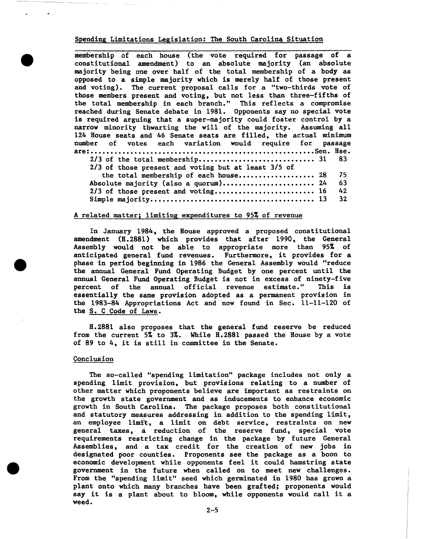Spending Limitations Legislation: The South Carolina Situation

membership of each house (the vote required for passage of a constitutional amendment) to an absolute majority (an absolute majority being one over half of the total membership of a body as opposed to a simple majority which is merely half of those present and voting). The current proposal calls for a "two-thirds vote of those members present and voting, but not less than three-fifths of the total membership in each branch." This reflects a compromise reached during Senate debate in 1981. Opponents say no special vote is required arguing that a super-majority could foster control by a narrow minority thwarting the will of the majority. Assuming all 124 House seats and 46 Senate seats are filled, the actual minimum number of votes each variation would require for passage **are: ......................................................... Sen. Hse.**  2/3 of the total membership ••••••••••••••••••••••••••••• 31 83 2/3 of those present and voting but at least 3/5 of the total membership of each house..................... 28 75<br>olute majority (also a quorum)......................... 24 63 Absolute majority (also a quorum).......................... 24 63<br>2/3 of those present and voting............................ 16 42 2/3 of those present and voting ••••••••••••••••••••••••• 16 42 **Simple majority •...••..•••.••••.•..••••••.•••..••..•..•• 13 32** 

## A related matter; limiting expenditures to 95% of revenue

In January 1984, the House approved a proposed constitutional amendment (H.2881) which provides that after 1990, the General Assembly would not be able to appropriate more than 95% of anticipated general fund revenues. Furthermore, it provides for a phase in period beginning in 1986 the General Assembly would "reduce the annual General Fund Operating Budget by one percent until the annual General Fund Operating Budget is not in excess of ninety-five percent of the annual official revenue estimate." This is essentially the same provision adopted as a permanent provision in the 1983-84 Appropriations Act and now found in Sec. 11-11-120 of the S. C Code of Laws.

H.2881 also proposes that the general fund reserve be reduced from the current 5% to 3%. While H.2881 passed the House by a vote of 89 to 4, it is still in committee in the Senate.

### Conclusion

The so-called "spending limitation" package includes not only a spending limit provision, but provisions relating to a number of other matter which proponents believe are important as restraints on the growth state government and as inducements to enhance economic growth in South Carolina. The package proposes both constitutional and statutory measures addressing in addition to the spending limit, an employee limft, a limit on debt service, restraints on new general taxes, a reduction of the reserve fund, special vote requirements restricting change in the package by future General Assemblies, and a tax credit for the creation of new jobs in designated poor counties. Proponents see the package as a boon to economic development while opponents feel it could hamstring state government in the future when called on to meet new challenges. From the "spending limit" seed which germinated in 1980 has grown a plant onto which many branches have been grafted; proponents would say it is a plant about to bloom, while opponents would call it a weed.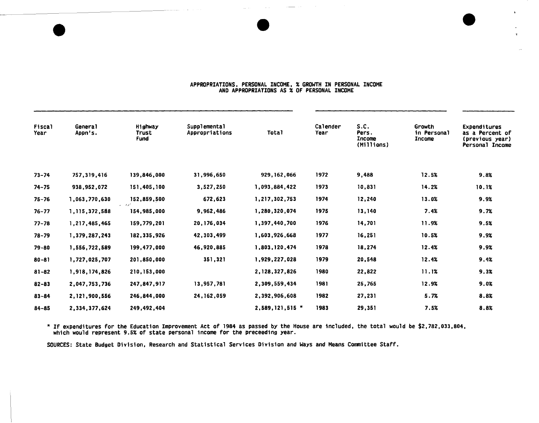#### APPROPRIATIONS, PERSONAL INCOME, % GROWTH IN PERSONAL INCOME AND APPROPRIATIONS AS % OF PERSONAL INCOME

 $\mathbf{r}$ 

| <b>Fiscal</b><br>Year | Genera <sub>1</sub><br>Appn's. | Highway<br>Trust<br>Fund | <b>Supplemental</b><br>Appropriations | <b>Total</b>     | Calender<br>Year | S.C.<br>Pers.<br>Income<br>(Millions) | Growth<br>in Personal<br><b>Income</b> | Expenditures<br>as a Percent of<br>(previous year)<br>Personal Income |
|-----------------------|--------------------------------|--------------------------|---------------------------------------|------------------|------------------|---------------------------------------|----------------------------------------|-----------------------------------------------------------------------|
| $73 - 74$             | 757,319,416                    | 139,846,000              | 31,996,650                            | 929, 162, 066    | 1972             | 9,488                                 | 12.5%                                  | 9.8%                                                                  |
| $74 - 75$             | 938, 952, 072                  | 151,405,100              | 3,527,250                             | 1,093,884,422    | 1973             | 10,831                                | 14.2%                                  | 10.1%                                                                 |
| $75 - 76$             | 1,063,770,630                  | 152,859,500              | 672,623                               | 1,217,302,753    | 1974             | 12,240                                | 13.0%                                  | 9.9%                                                                  |
| $76 - 77$             | 1, 115, 372, 588               | 154,985,000              | 9,962,486                             | 1,280,320,074    | 1975             | 13,140                                | 7.4%                                   | 9.7%                                                                  |
| $77 - 78$             | 1,217,485,465                  | 159,779,201              | 20, 176, 034                          | 1,397,440,700    | 1976             | 14,701                                | 11.9%                                  | 9.5%                                                                  |
| $78 - 79$             | 1,379,287,243                  | 182, 335, 926            | 42,303,499                            | 1,603,926,668    | 1977             | 16,251                                | 10.5%                                  | 9.9%                                                                  |
| $79 - 80$             | 1,556,722,589                  | 199,477,000              | 46,920,885                            | 1,803,120,474    | 1978             | 18,274                                | 12.4%                                  | 9.9%                                                                  |
| $80 - 81$             | 1,727,025,707                  | 201,850,000              | 351,321                               | 1,929,227,028    | 1979             | 20,548                                | 12.4%                                  | 9.4%                                                                  |
| $81 - 82$             | 1,918,174,826                  | 210, 153, 000            |                                       | 2, 128, 327, 826 | 1980             | 22,822                                | 11.1%                                  | 9.3%                                                                  |
| $82 - 83$             | 2,047,753,736                  | 247,847,917              | 13,957,781                            | 2,309,559,434    | 1981             | 25,765                                | 12.9%                                  | 9.0%                                                                  |
| $83 - 84$             | 2,121,900,556                  | 246,844,000              | 24, 162, 059                          | 2,392,906,608    | 1982             | 27,231                                | 5.7%                                   | 8.8%                                                                  |
| $84 - 85$             | 2,334,377,624                  | 249,492,404              |                                       | 2,589,121,515 *  | 1983             | 29,351                                | 7.5%                                   | 8.8%                                                                  |

\* If expenditures for the Education Improvement Act of 1984 as passed by the House are included, the total If expenditures for the Education Improvement Act of 1984 as passed by the House are included, the total would be \$2,782,033,804,<br>which would represent 9.5% of state personal income for the preceeding year.

SOURCES: State Budget Division, Research and Statistical Services Division and Ways and Means Committee Staff.